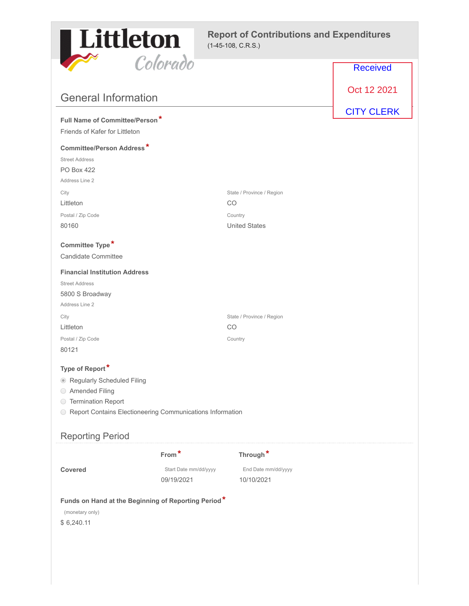

|                                                                                      | ovoravo               |                           | <b>Received</b>   |
|--------------------------------------------------------------------------------------|-----------------------|---------------------------|-------------------|
| <b>General Information</b>                                                           |                       |                           | Oct 12 2021       |
|                                                                                      |                       |                           | <b>CITY CLERK</b> |
| Full Name of Committee/Person*                                                       |                       |                           |                   |
| Friends of Kafer for Littleton                                                       |                       |                           |                   |
| <b>Committee/Person Address*</b>                                                     |                       |                           |                   |
| <b>Street Address</b>                                                                |                       |                           |                   |
| <b>PO Box 422</b>                                                                    |                       |                           |                   |
| Address Line 2                                                                       |                       |                           |                   |
| City                                                                                 |                       | State / Province / Region |                   |
| Littleton                                                                            |                       | CO.                       |                   |
| Postal / Zip Code                                                                    |                       | Country                   |                   |
| 80160                                                                                |                       | <b>United States</b>      |                   |
| Committee Type*                                                                      |                       |                           |                   |
| <b>Candidate Committee</b>                                                           |                       |                           |                   |
| <b>Financial Institution Address</b>                                                 |                       |                           |                   |
| <b>Street Address</b>                                                                |                       |                           |                   |
| 5800 S Broadway                                                                      |                       |                           |                   |
| Address Line 2                                                                       |                       |                           |                   |
| City                                                                                 |                       | State / Province / Region |                   |
| Littleton                                                                            |                       | CO.                       |                   |
| Postal / Zip Code                                                                    |                       | Country                   |                   |
| 80121                                                                                |                       |                           |                   |
| Type of Report*                                                                      |                       |                           |                   |
| Regularly Scheduled Filing                                                           |                       |                           |                   |
| ◯ Amended Filing                                                                     |                       |                           |                   |
| ◯ Termination Report                                                                 |                       |                           |                   |
| Report Contains Electioneering Communications Information                            |                       |                           |                   |
|                                                                                      |                       |                           |                   |
| <b>Reporting Period</b>                                                              |                       |                           |                   |
|                                                                                      | From*                 | Through*                  |                   |
| <b>Covered</b>                                                                       | Start Date mm/dd/yyyy | End Date mm/dd/yyyy       |                   |
|                                                                                      | 09/19/2021            | 10/10/2021                |                   |
| Funds on Hand at the Beginning of Reporting Period*<br>(monetary only)<br>\$6,240.11 |                       |                           |                   |
|                                                                                      |                       |                           |                   |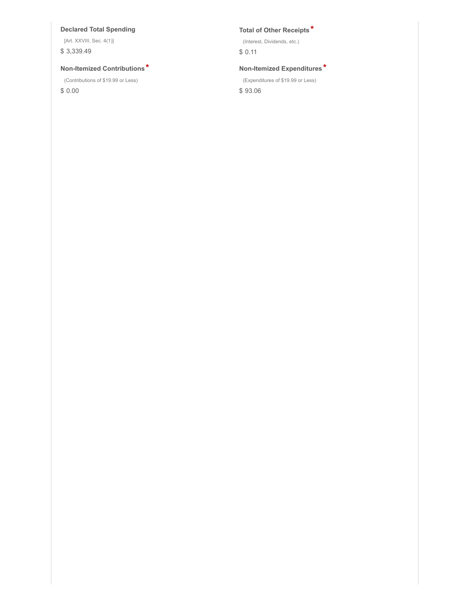### **Declared Total Spending Total of Other Receipts \***

[Art. XXVIII, Sec. 4(1)]

\$ 3,339.49

### **Non-Itemized Contributions \* Non-Itemized Expenditures \***

(Contributions of \$19.99 or Less)

\$ 0.00

(Interest, Dividends, etc.)

\$ 0.11

(Expenditures of \$19.99 or Less)

\$ 93.06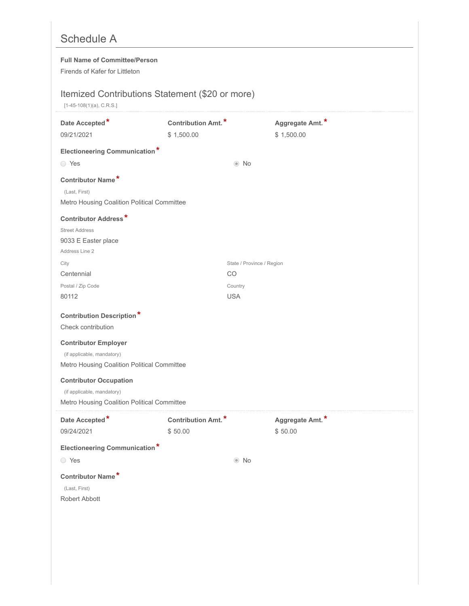# Schedule A

### **Full Name of Committee/Person**

Firends of Kafer for Littleton

## Itemized Contributions Statement (\$20 or more)

[1-45-108(1)(a), C.R.S.]

| Date Accepted*<br>09/21/2021                                                                                                                                       | Contribution Amt.*<br>\$1,500.00 |                           | Aggregate Amt.*<br>\$1,500.00 |
|--------------------------------------------------------------------------------------------------------------------------------------------------------------------|----------------------------------|---------------------------|-------------------------------|
| <b>Electioneering Communication*</b><br>◯ Yes                                                                                                                      |                                  | $\odot$ No                |                               |
| Contributor Name*<br>(Last, First)<br>Metro Housing Coalition Political Committee                                                                                  |                                  |                           |                               |
| <b>Contributor Address*</b><br><b>Street Address</b><br>9033 E Easter place<br>Address Line 2                                                                      |                                  |                           |                               |
| City                                                                                                                                                               |                                  | State / Province / Region |                               |
| Centennial                                                                                                                                                         |                                  | CO                        |                               |
| Postal / Zip Code<br>80112                                                                                                                                         |                                  | Country<br><b>USA</b>     |                               |
| <b>Contribution Description*</b><br>Check contribution<br><b>Contributor Employer</b><br>(if applicable, mandatory)<br>Metro Housing Coalition Political Committee |                                  |                           |                               |
| <b>Contributor Occupation</b><br>(if applicable, mandatory)<br>Metro Housing Coalition Political Committee                                                         |                                  |                           |                               |
| Date Accepted*<br>09/24/2021                                                                                                                                       | Contribution Amt.*<br>\$50.00    |                           | Aggregate Amt.*<br>\$50.00    |
| <b>Electioneering Communication*</b>                                                                                                                               |                                  |                           |                               |
| ◯ Yes                                                                                                                                                              |                                  | $\odot$ No                |                               |
| Contributor Name*<br>(Last, First)<br>Robert Abbott                                                                                                                |                                  |                           |                               |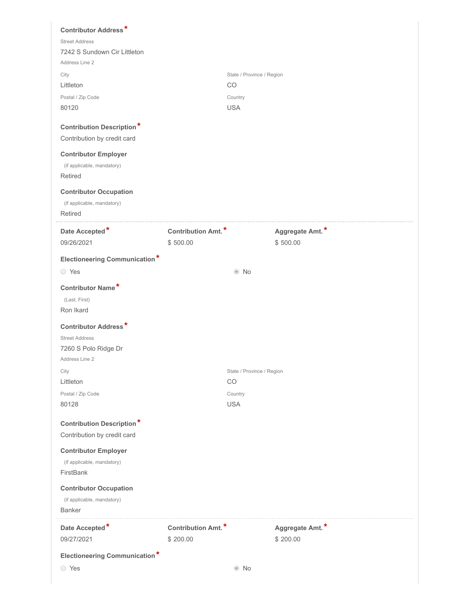| <b>Contributor Address*</b><br><b>Street Address</b>            |                    |                                 |                 |  |
|-----------------------------------------------------------------|--------------------|---------------------------------|-----------------|--|
| 7242 S Sundown Cir Littleton<br>Address Line 2                  |                    |                                 |                 |  |
| City                                                            |                    | State / Province / Region       |                 |  |
| Littleton                                                       |                    | CO                              |                 |  |
| Postal / Zip Code                                               |                    | Country                         |                 |  |
| 80120                                                           |                    | <b>USA</b>                      |                 |  |
| <b>Contribution Description*</b><br>Contribution by credit card |                    |                                 |                 |  |
| <b>Contributor Employer</b>                                     |                    |                                 |                 |  |
| (if applicable, mandatory)                                      |                    |                                 |                 |  |
| Retired                                                         |                    |                                 |                 |  |
| <b>Contributor Occupation</b>                                   |                    |                                 |                 |  |
| (if applicable, mandatory)                                      |                    |                                 |                 |  |
| Retired                                                         |                    |                                 |                 |  |
| Date Accepted*                                                  | Contribution Amt.* |                                 | Aggregate Amt.* |  |
| 09/26/2021                                                      | \$500.00           |                                 | \$500.00        |  |
| <b>Electioneering Communication*</b>                            |                    |                                 |                 |  |
| ◯ Yes                                                           |                    | $\odot$ No                      |                 |  |
| Contributor Name*                                               |                    |                                 |                 |  |
| (Last, First)                                                   |                    |                                 |                 |  |
| Ron Ikard                                                       |                    |                                 |                 |  |
| <b>Contributor Address*</b>                                     |                    |                                 |                 |  |
| <b>Street Address</b>                                           |                    |                                 |                 |  |
| 7260 S Polo Ridge Dr                                            |                    |                                 |                 |  |
| Address Line 2                                                  |                    |                                 |                 |  |
| City<br>Littleton                                               |                    | State / Province / Region<br>CO |                 |  |
| Postal / Zip Code                                               |                    | Country                         |                 |  |
| 80128                                                           |                    | <b>USA</b>                      |                 |  |
|                                                                 |                    |                                 |                 |  |
| <b>Contribution Description*</b><br>Contribution by credit card |                    |                                 |                 |  |
| <b>Contributor Employer</b>                                     |                    |                                 |                 |  |
| (if applicable, mandatory)                                      |                    |                                 |                 |  |
| FirstBank                                                       |                    |                                 |                 |  |
| <b>Contributor Occupation</b>                                   |                    |                                 |                 |  |
| (if applicable, mandatory)                                      |                    |                                 |                 |  |
| <b>Banker</b>                                                   |                    |                                 |                 |  |
| Date Accepted*                                                  | Contribution Amt.* |                                 | Aggregate Amt.* |  |
| 09/27/2021                                                      | \$200.00           |                                 | \$200.00        |  |
| <b>Electioneering Communication*</b>                            |                    |                                 |                 |  |
| ◯ Yes                                                           |                    | $\odot$ No                      |                 |  |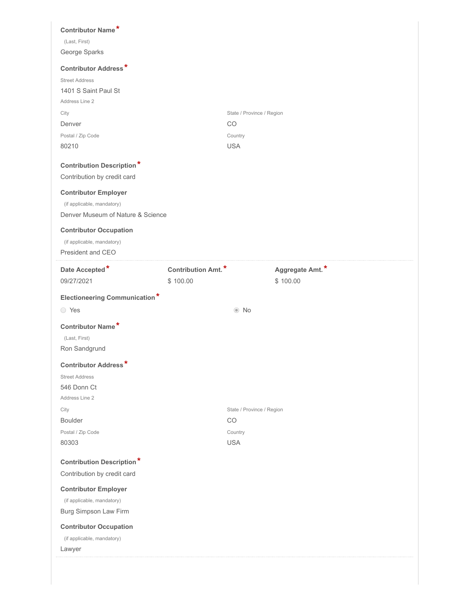| Contributor Name*                                                                              |                                       |                             |  |
|------------------------------------------------------------------------------------------------|---------------------------------------|-----------------------------|--|
| (Last, First)<br>George Sparks                                                                 |                                       |                             |  |
| <b>Contributor Address*</b>                                                                    |                                       |                             |  |
| <b>Street Address</b><br>1401 S Saint Paul St<br>Address Line 2                                |                                       |                             |  |
| City                                                                                           |                                       | State / Province / Region   |  |
| Denver                                                                                         |                                       | CO<br>Country               |  |
| Postal / Zip Code<br>80210                                                                     |                                       | <b>USA</b>                  |  |
| <b>Contribution Description*</b><br>Contribution by credit card                                |                                       |                             |  |
| <b>Contributor Employer</b><br>(if applicable, mandatory)<br>Denver Museum of Nature & Science |                                       |                             |  |
| <b>Contributor Occupation</b><br>(if applicable, mandatory)<br>President and CEO               |                                       |                             |  |
| Date Accepted*<br>09/27/2021                                                                   | <b>Contribution Amt.*</b><br>\$100.00 | Aggregate Amt.*<br>\$100.00 |  |
|                                                                                                |                                       |                             |  |
| <b>Electioneering Communication*</b>                                                           |                                       |                             |  |
| ◯ Yes                                                                                          |                                       | $\odot$ No                  |  |
| Contributor Name*<br>(Last, First)<br>Ron Sandgrund                                            |                                       |                             |  |
| ÷<br><b>Contributor Address</b><br><b>Street Address</b><br>546 Donn Ct                        |                                       |                             |  |
| Address Line 2<br>City                                                                         |                                       | State / Province / Region   |  |
| <b>Boulder</b>                                                                                 |                                       | CO                          |  |
| Postal / Zip Code                                                                              |                                       | Country                     |  |
| 80303                                                                                          |                                       | <b>USA</b>                  |  |
| <b>Contribution Description*</b>                                                               |                                       |                             |  |
| Contribution by credit card                                                                    |                                       |                             |  |
| <b>Contributor Employer</b><br>(if applicable, mandatory)                                      |                                       |                             |  |
| Burg Simpson Law Firm                                                                          |                                       |                             |  |
| <b>Contributor Occupation</b>                                                                  |                                       |                             |  |
| (if applicable, mandatory)<br>Lawyer                                                           |                                       |                             |  |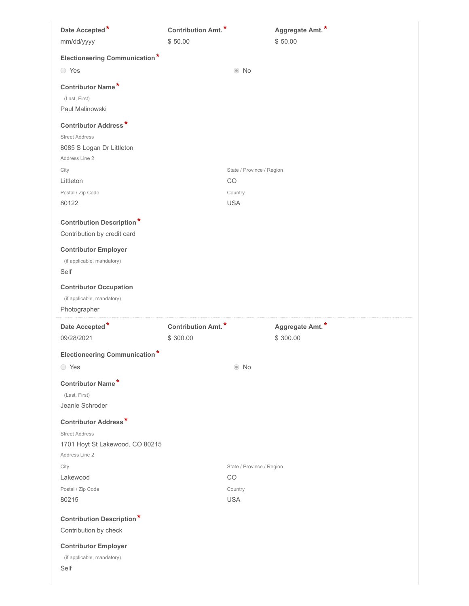| Date Accepted*                                                                                      | Contribution Amt.*             | Aggregate Amt.*             |
|-----------------------------------------------------------------------------------------------------|--------------------------------|-----------------------------|
| mm/dd/yyyy                                                                                          | \$50.00                        | \$50.00                     |
| <b>Electioneering Communication*</b>                                                                |                                |                             |
| ◯ Yes                                                                                               |                                | $\odot$ No                  |
| Contributor Name*<br>(Last, First)<br>Paul Malinowski                                               |                                |                             |
| <b>Contributor Address*</b><br><b>Street Address</b><br>8085 S Logan Dr Littleton<br>Address Line 2 |                                |                             |
| City                                                                                                |                                | State / Province / Region   |
| Littleton                                                                                           | CO                             |                             |
| Postal / Zip Code<br>80122                                                                          | Country<br><b>USA</b>          |                             |
| <b>Contribution Description*</b><br>Contribution by credit card<br><b>Contributor Employer</b>      |                                |                             |
| (if applicable, mandatory)<br>Self                                                                  |                                |                             |
| <b>Contributor Occupation</b><br>(if applicable, mandatory)                                         |                                |                             |
| Photographer                                                                                        |                                |                             |
| Date Accepted*<br>09/28/2021                                                                        | Contribution Amt.*<br>\$300.00 | Aggregate Amt.*<br>\$300.00 |
| <b>Electioneering Communication*</b>                                                                |                                |                             |
| ○ Yes                                                                                               |                                | $\odot$ No                  |
| Contributor Name*<br>(Last, First)<br>Jeanie Schroder                                               |                                |                             |
| <b>Contributor Address*</b>                                                                         |                                |                             |
| <b>Street Address</b><br>1701 Hoyt St Lakewood, CO 80215<br>Address Line 2                          |                                |                             |
| City                                                                                                |                                | State / Province / Region   |
| Lakewood                                                                                            | CO                             |                             |
| Postal / Zip Code                                                                                   | Country                        |                             |
| 80215                                                                                               | <b>USA</b>                     |                             |
| <b>Contribution Description*</b><br>Contribution by check                                           |                                |                             |
| <b>Contributor Employer</b>                                                                         |                                |                             |
| (if applicable, mandatory)<br>Self                                                                  |                                |                             |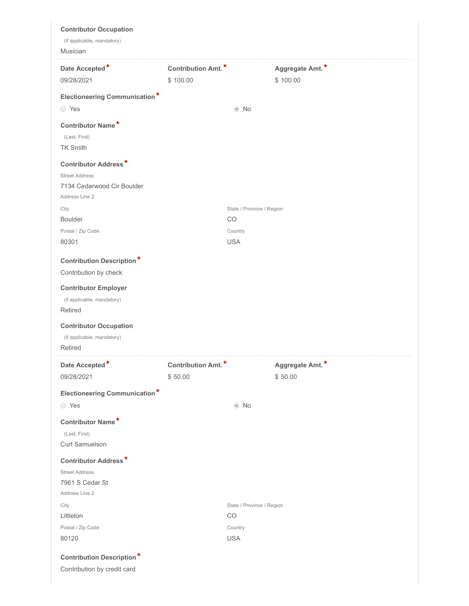| <b>Contributor Occupation</b><br>(if applicable, mandatory)                                                                                                                                                 |                                            |                                 |                             |
|-------------------------------------------------------------------------------------------------------------------------------------------------------------------------------------------------------------|--------------------------------------------|---------------------------------|-----------------------------|
| Musician                                                                                                                                                                                                    |                                            |                                 |                             |
| Date Accepted*<br>09/28/2021                                                                                                                                                                                | Contribution Amt. <sup>*</sup><br>\$100.00 |                                 | Aggregate Amt.*<br>\$100.00 |
| <b>Electioneering Communication*</b>                                                                                                                                                                        |                                            |                                 |                             |
| ◯ Yes                                                                                                                                                                                                       |                                            | $\odot$ No                      |                             |
| Contributor Name*                                                                                                                                                                                           |                                            |                                 |                             |
| (Last, First)                                                                                                                                                                                               |                                            |                                 |                             |
| <b>TK Smith</b>                                                                                                                                                                                             |                                            |                                 |                             |
| <b>Contributor Address*</b>                                                                                                                                                                                 |                                            |                                 |                             |
| <b>Street Address</b>                                                                                                                                                                                       |                                            |                                 |                             |
| 7134 Cedarwood Cir Boulder                                                                                                                                                                                  |                                            |                                 |                             |
| Address Line 2                                                                                                                                                                                              |                                            |                                 |                             |
| City<br><b>Boulder</b>                                                                                                                                                                                      |                                            | State / Province / Region<br>CO |                             |
| Postal / Zip Code                                                                                                                                                                                           |                                            | Country                         |                             |
| 80301                                                                                                                                                                                                       |                                            | <b>USA</b>                      |                             |
| <b>Contribution Description*</b><br>Contribution by check<br><b>Contributor Employer</b><br>(if applicable, mandatory)<br>Retired<br><b>Contributor Occupation</b><br>(if applicable, mandatory)<br>Retired |                                            |                                 |                             |
| Date Accepted*                                                                                                                                                                                              | Contribution Amt.*                         |                                 | Aggregate Amt.*             |
| 09/28/2021                                                                                                                                                                                                  | \$50.00                                    |                                 | \$50.00                     |
| <b>Electioneering Communication*</b>                                                                                                                                                                        |                                            |                                 |                             |
| ◯ Yes                                                                                                                                                                                                       |                                            | $\odot$ No                      |                             |
| Contributor Name*                                                                                                                                                                                           |                                            |                                 |                             |
| (Last, First)                                                                                                                                                                                               |                                            |                                 |                             |
| Curt Samuelson                                                                                                                                                                                              |                                            |                                 |                             |
| <b>Contributor Address*</b>                                                                                                                                                                                 |                                            |                                 |                             |
| <b>Street Address</b>                                                                                                                                                                                       |                                            |                                 |                             |
| 7961 S Cedar St                                                                                                                                                                                             |                                            |                                 |                             |
| Address Line 2                                                                                                                                                                                              |                                            |                                 |                             |
| City                                                                                                                                                                                                        |                                            | State / Province / Region       |                             |
| Littleton                                                                                                                                                                                                   |                                            | CO                              |                             |
| Postal / Zip Code                                                                                                                                                                                           |                                            | Country                         |                             |
| 80120                                                                                                                                                                                                       |                                            | <b>USA</b>                      |                             |
| <b>Contribution Description*</b>                                                                                                                                                                            |                                            |                                 |                             |
| Contribution by credit card                                                                                                                                                                                 |                                            |                                 |                             |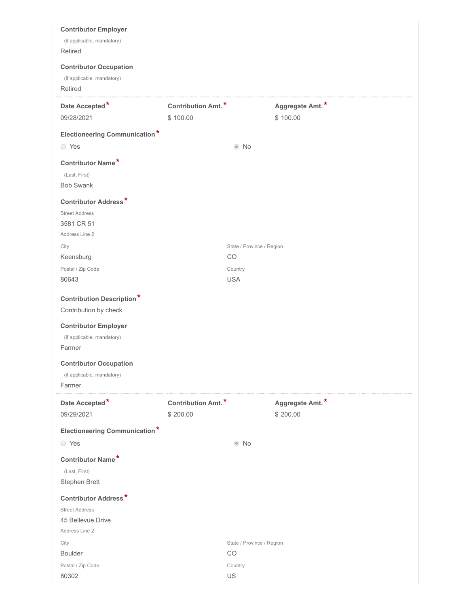| <b>Contributor Employer</b><br>(if applicable, mandatory)<br><b>Retired</b><br><b>Contributor Occupation</b><br>(if applicable, mandatory) |                                |                                 |                             |  |
|--------------------------------------------------------------------------------------------------------------------------------------------|--------------------------------|---------------------------------|-----------------------------|--|
| Retired                                                                                                                                    |                                |                                 |                             |  |
| Date Accepted*<br>09/28/2021                                                                                                               | Contribution Amt.*<br>\$100.00 |                                 | Aggregate Amt.*<br>\$100.00 |  |
| <b>Electioneering Communication*</b>                                                                                                       |                                |                                 |                             |  |
| ◯ Yes                                                                                                                                      |                                | $\odot$ No                      |                             |  |
| Contributor Name*<br>(Last, First)<br><b>Bob Swank</b>                                                                                     |                                |                                 |                             |  |
| <b>Contributor Address*</b><br><b>Street Address</b><br>3581 CR 51<br>Address Line 2                                                       |                                |                                 |                             |  |
| City<br>Keensburg                                                                                                                          |                                | State / Province / Region<br>CO |                             |  |
| Postal / Zip Code                                                                                                                          |                                | Country                         |                             |  |
| 80643                                                                                                                                      |                                | <b>USA</b>                      |                             |  |
| <b>Contribution Description*</b><br>Contribution by check                                                                                  |                                |                                 |                             |  |
| <b>Contributor Employer</b><br>(if applicable, mandatory)<br>Farmer                                                                        |                                |                                 |                             |  |
| <b>Contributor Occupation</b><br>(if applicable, mandatory)<br>Farmer                                                                      |                                |                                 |                             |  |
| Date Accepted*<br>09/29/2021                                                                                                               | Contribution Amt.*<br>\$200.00 |                                 | Aggregate Amt.*<br>\$200.00 |  |
| <b>Electioneering Communication*</b>                                                                                                       |                                |                                 |                             |  |
| ◯ Yes                                                                                                                                      |                                | $\odot$ No                      |                             |  |
| Contributor Name*<br>(Last, First)<br>Stephen Brett                                                                                        |                                |                                 |                             |  |
| <b>Contributor Address*</b><br><b>Street Address</b><br>45 Bellevue Drive<br>Address Line 2                                                |                                |                                 |                             |  |
| City<br><b>Boulder</b>                                                                                                                     |                                | State / Province / Region<br>CO |                             |  |
| Postal / Zip Code                                                                                                                          |                                | Country                         |                             |  |
| 80302                                                                                                                                      |                                | US                              |                             |  |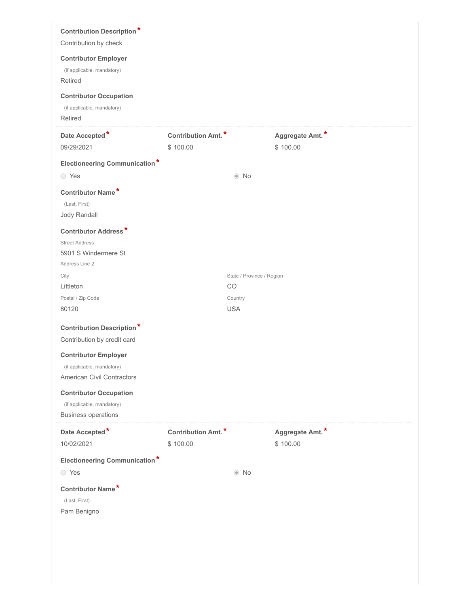| <b>Contribution Description*</b><br>Contribution by check                                      |                                |                           |                             |  |
|------------------------------------------------------------------------------------------------|--------------------------------|---------------------------|-----------------------------|--|
| <b>Contributor Employer</b><br>(if applicable, mandatory)<br>Retired                           |                                |                           |                             |  |
| <b>Contributor Occupation</b><br>(if applicable, mandatory)<br>Retired                         |                                |                           |                             |  |
| Date Accepted*<br>09/29/2021                                                                   | Contribution Amt.*<br>\$100.00 |                           | Aggregate Amt.*<br>\$100.00 |  |
| <b>Electioneering Communication*</b>                                                           |                                |                           |                             |  |
| ◯ Yes                                                                                          |                                | $\odot$ No                |                             |  |
| Contributor Name*<br>(Last, First)<br>Jody Randall                                             |                                |                           |                             |  |
| <b>Contributor Address*</b><br><b>Street Address</b><br>5901 S Windermere St<br>Address Line 2 |                                |                           |                             |  |
| City                                                                                           |                                | State / Province / Region |                             |  |
| Littleton                                                                                      |                                | CO                        |                             |  |
| Postal / Zip Code<br>80120                                                                     |                                | Country<br><b>USA</b>     |                             |  |
|                                                                                                |                                |                           |                             |  |
| <b>Contribution Description*</b><br>Contribution by credit card                                |                                |                           |                             |  |
| <b>Contributor Employer</b>                                                                    |                                |                           |                             |  |
| (if applicable, mandatory)                                                                     |                                |                           |                             |  |
| American Civil Contractors                                                                     |                                |                           |                             |  |
| <b>Contributor Occupation</b>                                                                  |                                |                           |                             |  |
| (if applicable, mandatory)<br><b>Business operations</b>                                       |                                |                           |                             |  |
| Date Accepted*<br>10/02/2021                                                                   | Contribution Amt.*<br>\$100.00 |                           | Aggregate Amt.*<br>\$100.00 |  |
| <b>Electioneering Communication*</b>                                                           |                                |                           |                             |  |
| ◯ Yes                                                                                          |                                | $\odot$ No                |                             |  |
| Contributor Name*<br>(Last, First)<br>Pam Benigno                                              |                                |                           |                             |  |
|                                                                                                |                                |                           |                             |  |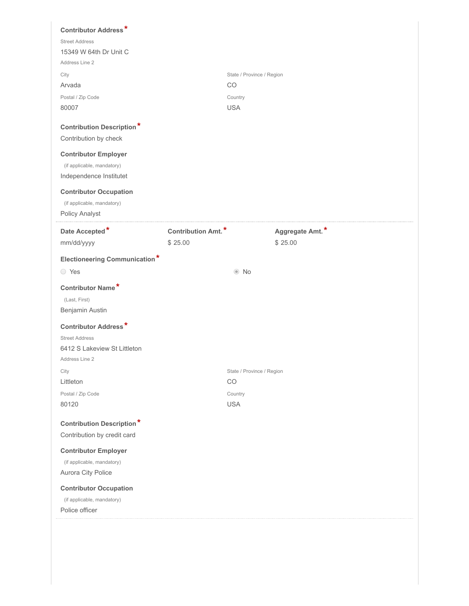| <b>Contributor Address*</b>          |                    |                           |                 |  |
|--------------------------------------|--------------------|---------------------------|-----------------|--|
| <b>Street Address</b>                |                    |                           |                 |  |
| 15349 W 64th Dr Unit C               |                    |                           |                 |  |
| Address Line 2                       |                    |                           |                 |  |
| City                                 |                    | State / Province / Region |                 |  |
| Arvada                               |                    | CO                        |                 |  |
| Postal / Zip Code<br>80007           |                    | Country<br><b>USA</b>     |                 |  |
|                                      |                    |                           |                 |  |
| <b>Contribution Description*</b>     |                    |                           |                 |  |
| Contribution by check                |                    |                           |                 |  |
| <b>Contributor Employer</b>          |                    |                           |                 |  |
| (if applicable, mandatory)           |                    |                           |                 |  |
| Independence Institutet              |                    |                           |                 |  |
| <b>Contributor Occupation</b>        |                    |                           |                 |  |
| (if applicable, mandatory)           |                    |                           |                 |  |
| Policy Analyst                       |                    |                           |                 |  |
| Date Accepted*                       | Contribution Amt.* |                           | Aggregate Amt.* |  |
| mm/dd/yyyy                           | \$25.00            |                           | \$25.00         |  |
| <b>Electioneering Communication*</b> |                    |                           |                 |  |
| ◯ Yes                                |                    | $\odot$ No                |                 |  |
|                                      |                    |                           |                 |  |
| Contributor Name*                    |                    |                           |                 |  |
| (Last, First)                        |                    |                           |                 |  |
| Benjamin Austin                      |                    |                           |                 |  |
| <b>Contributor Address*</b>          |                    |                           |                 |  |
| <b>Street Address</b>                |                    |                           |                 |  |
| 6412 S Lakeview St Littleton         |                    |                           |                 |  |
| Address Line 2                       |                    | State / Province / Region |                 |  |
| City<br>Littleton                    |                    | CO                        |                 |  |
| Postal / Zip Code                    |                    | Country                   |                 |  |
| 80120                                |                    | <b>USA</b>                |                 |  |
|                                      |                    |                           |                 |  |
| <b>Contribution Description*</b>     |                    |                           |                 |  |
| Contribution by credit card          |                    |                           |                 |  |
| <b>Contributor Employer</b>          |                    |                           |                 |  |
| (if applicable, mandatory)           |                    |                           |                 |  |
| Aurora City Police                   |                    |                           |                 |  |
|                                      |                    |                           |                 |  |
| <b>Contributor Occupation</b>        |                    |                           |                 |  |
| (if applicable, mandatory)           |                    |                           |                 |  |
| Police officer                       |                    |                           |                 |  |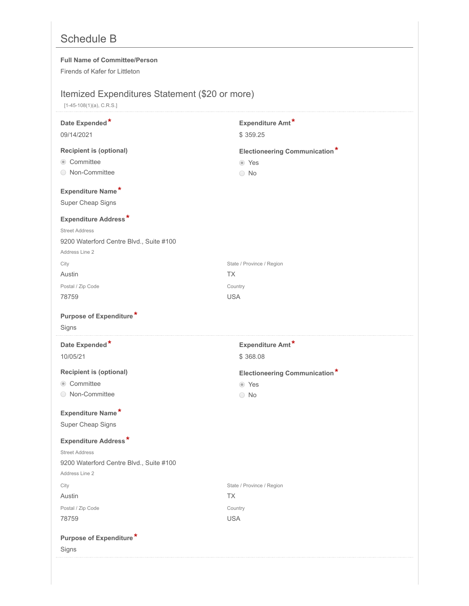# Schedule B

### **Full Name of Committee/Person**

Firends of Kafer for Littleton

## Itemized Expenditures Statement (\$20 or more)

[1-45-108(1)(a), C.R.S.]

| Date Expended*                          | Expenditure Amt*                     |
|-----------------------------------------|--------------------------------------|
| 09/14/2021                              | \$359.25                             |
| <b>Recipient is (optional)</b>          | <b>Electioneering Communication*</b> |
| Committee                               | ◎ Yes                                |
| ◯ Non-Committee                         | $\bigcirc$ No                        |
| Expenditure Name*                       |                                      |
| Super Cheap Signs                       |                                      |
| <b>Expenditure Address*</b>             |                                      |
| <b>Street Address</b>                   |                                      |
| 9200 Waterford Centre Blvd., Suite #100 |                                      |
| Address Line 2                          |                                      |
| City                                    | State / Province / Region            |
| Austin                                  | <b>TX</b>                            |
| Postal / Zip Code                       | Country                              |
| 78759                                   | <b>USA</b>                           |
| Purpose of Expenditure*                 |                                      |
| Signs                                   |                                      |
|                                         |                                      |
| Date Expended*                          | Expenditure Amt*                     |
| 10/05/21                                | \$368.08                             |
| <b>Recipient is (optional)</b>          | <b>Electioneering Communication*</b> |
| © Committee                             | ◉ Yes                                |
| ○ Non-Committee                         | $\bigcirc$ No                        |
| Expenditure Name*                       |                                      |
| Super Cheap Signs                       |                                      |
| <b>Expenditure Address*</b>             |                                      |
| <b>Street Address</b>                   |                                      |
| 9200 Waterford Centre Blvd., Suite #100 |                                      |
| Address Line 2                          |                                      |
| City                                    | State / Province / Region            |
| Austin                                  | <b>TX</b>                            |
| Postal / Zip Code                       | Country                              |
| 78759                                   | <b>USA</b>                           |
|                                         |                                      |
| Purpose of Expenditure*<br>Signs        |                                      |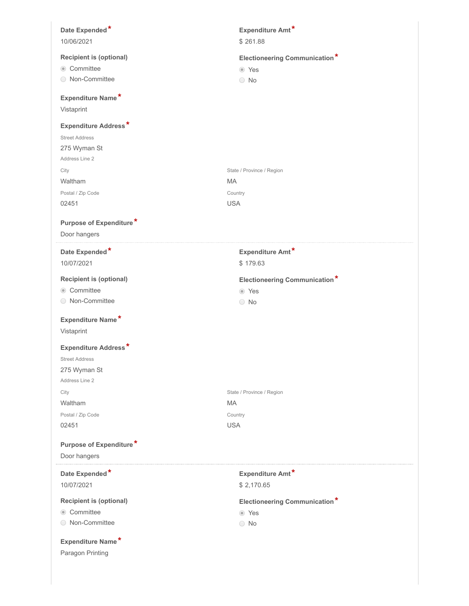| Date Expended*                 | Expenditure Amt*                     |
|--------------------------------|--------------------------------------|
| 10/06/2021                     | \$261.88                             |
| <b>Recipient is (optional)</b> | <b>Electioneering Communication*</b> |
| © Committee                    | ◎ Yes                                |
| ◯ Non-Committee                | $\bigcirc$ No                        |
| Expenditure Name*              |                                      |
| Vistaprint                     |                                      |
| <b>Expenditure Address*</b>    |                                      |
| <b>Street Address</b>          |                                      |
| 275 Wyman St                   |                                      |
| Address Line 2                 |                                      |
| City                           | State / Province / Region            |
| Waltham                        | МA                                   |
| Postal / Zip Code              | Country                              |
| 02451                          | <b>USA</b>                           |
| Purpose of Expenditure*        |                                      |
| Door hangers                   |                                      |
|                                |                                      |
| Date Expended*                 | Expenditure Amt*                     |
| 10/07/2021                     | \$179.63                             |
| <b>Recipient is (optional)</b> | <b>Electioneering Communication*</b> |
| Committee                      | ⊙ Yes                                |
| ◯ Non-Committee                | $\bigcirc$ No                        |
| Expenditure Name*              |                                      |
| Vistaprint                     |                                      |
| <b>Expenditure Address*</b>    |                                      |
| <b>Street Address</b>          |                                      |
| 275 Wyman St                   |                                      |
| Address Line 2                 |                                      |
| City                           | State / Province / Region            |
| Waltham                        | MA                                   |
| Postal / Zip Code              | Country                              |
| 02451                          | <b>USA</b>                           |
| Purpose of Expenditure*        |                                      |
| Door hangers                   |                                      |
| Date Expended*                 | Expenditure Amt*                     |
| 10/07/2021                     | \$2,170.65                           |
| <b>Recipient is (optional)</b> | <b>Electioneering Communication*</b> |
| Committee                      | ⊙ Yes                                |
| ◯ Non-Committee                | $\bigcirc$ No                        |
| Expenditure Name*              |                                      |
| Paragon Printing               |                                      |
|                                |                                      |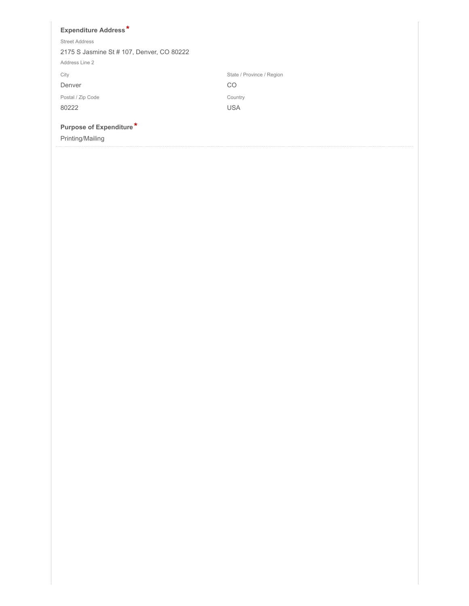| <b>Expenditure Address*</b>               |                           |
|-------------------------------------------|---------------------------|
| <b>Street Address</b>                     |                           |
| 2175 S Jasmine St # 107, Denver, CO 80222 |                           |
| Address Line 2                            |                           |
| City                                      | State / Province / Region |
| Denver                                    | CO                        |
| Postal / Zip Code                         | Country                   |
| 80222                                     | <b>USA</b>                |
| Purpose of Expenditure*                   |                           |
| Printing/Mailing                          |                           |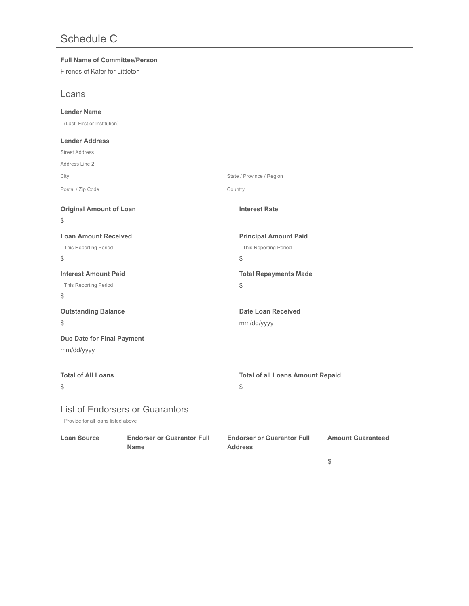# Schedule C

| <b>Full Name of Committee/Person</b><br>Firends of Kafer for Littleton<br>Loans<br><b>Lender Name</b><br>(Last, First or Institution)<br><b>Lender Address</b> |                                                  |                                                             |                                                                           |
|----------------------------------------------------------------------------------------------------------------------------------------------------------------|--------------------------------------------------|-------------------------------------------------------------|---------------------------------------------------------------------------|
| <b>Street Address</b>                                                                                                                                          |                                                  |                                                             |                                                                           |
| Address Line 2                                                                                                                                                 |                                                  |                                                             |                                                                           |
| City                                                                                                                                                           |                                                  | State / Province / Region                                   |                                                                           |
| Postal / Zip Code                                                                                                                                              |                                                  | Country                                                     |                                                                           |
| <b>Original Amount of Loan</b><br>\$                                                                                                                           |                                                  | <b>Interest Rate</b>                                        |                                                                           |
| <b>Loan Amount Received</b><br>This Reporting Period<br>\$                                                                                                     |                                                  | <b>Principal Amount Paid</b><br>This Reporting Period<br>\$ |                                                                           |
| <b>Interest Amount Paid</b><br>This Reporting Period<br>\$                                                                                                     |                                                  | <b>Total Repayments Made</b><br>\$                          |                                                                           |
| <b>Outstanding Balance</b>                                                                                                                                     |                                                  | <b>Date Loan Received</b>                                   |                                                                           |
| \$                                                                                                                                                             |                                                  | mm/dd/yyyy                                                  |                                                                           |
| Due Date for Final Payment<br>mm/dd/yyyy                                                                                                                       |                                                  |                                                             |                                                                           |
| <b>Total of All Loans</b><br>\$<br>Provide for all loans listed above                                                                                          | <b>List of Endorsers or Guarantors</b>           | <b>Total of all Loans Amount Repaid</b><br>\$               |                                                                           |
| <b>Loan Source</b>                                                                                                                                             | <b>Endorser or Guarantor Full</b><br><b>Name</b> | <b>Endorser or Guarantor Full</b><br><b>Address</b>         | <b>Amount Guaranteed</b><br>$\, \, \raisebox{12pt}{$\scriptstyle \circ$}$ |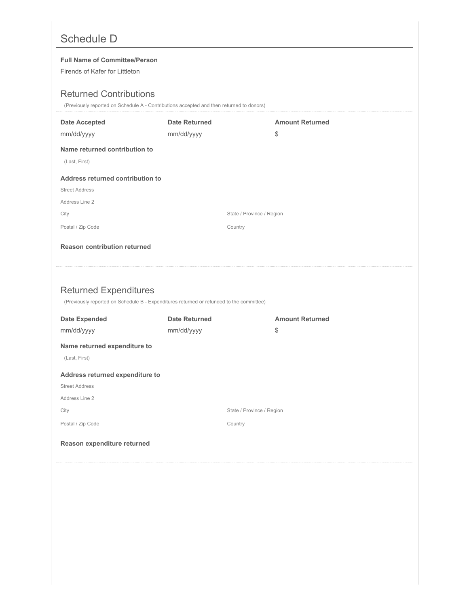# Schedule D

### **Full Name of Committee/Person**

Firends of Kafer for Littleton

## Returned Contributions

(Previously reported on Schedule A - Contributions accepted and then returned to donors)

| <b>Date Accepted</b>                | <b>Date Returned</b>                                                                     | <b>Amount Returned</b> |
|-------------------------------------|------------------------------------------------------------------------------------------|------------------------|
| mm/dd/yyyy                          | mm/dd/yyyy                                                                               | \$                     |
| Name returned contribution to       |                                                                                          |                        |
| (Last, First)                       |                                                                                          |                        |
| Address returned contribution to    |                                                                                          |                        |
| <b>Street Address</b>               |                                                                                          |                        |
| Address Line 2                      |                                                                                          |                        |
| City                                | State / Province / Region                                                                |                        |
| Postal / Zip Code                   | Country                                                                                  |                        |
| <b>Reason contribution returned</b> |                                                                                          |                        |
|                                     |                                                                                          |                        |
|                                     |                                                                                          |                        |
|                                     |                                                                                          |                        |
|                                     |                                                                                          |                        |
| <b>Returned Expenditures</b>        | (Previously reported on Schedule B - Expenditures returned or refunded to the committee) |                        |
| <b>Date Expended</b>                | <b>Date Returned</b>                                                                     | <b>Amount Returned</b> |
| mm/dd/yyyy                          | mm/dd/yyyy                                                                               | \$                     |
| Name returned expenditure to        |                                                                                          |                        |
| (Last, First)                       |                                                                                          |                        |
| Address returned expenditure to     |                                                                                          |                        |
| <b>Street Address</b>               |                                                                                          |                        |
| Address Line 2                      |                                                                                          |                        |
| City                                | State / Province / Region                                                                |                        |
| Postal / Zip Code                   | Country                                                                                  |                        |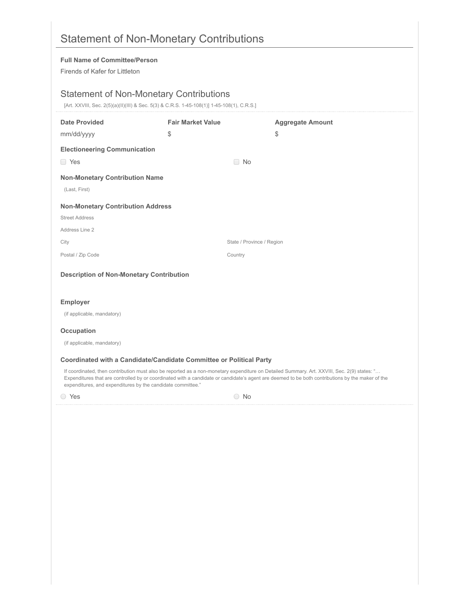| <b>Full Name of Committee/Person</b>                        |                                                                                            |                                                                                                                                                                                                                                                                                                 |  |
|-------------------------------------------------------------|--------------------------------------------------------------------------------------------|-------------------------------------------------------------------------------------------------------------------------------------------------------------------------------------------------------------------------------------------------------------------------------------------------|--|
| Firends of Kafer for Littleton                              |                                                                                            |                                                                                                                                                                                                                                                                                                 |  |
|                                                             |                                                                                            |                                                                                                                                                                                                                                                                                                 |  |
|                                                             | <b>Statement of Non-Monetary Contributions</b>                                             |                                                                                                                                                                                                                                                                                                 |  |
|                                                             | [Art. XXVIII, Sec. 2(5)(a)(II)(III) & Sec. 5(3) & C.R.S. 1-45-108(1)] 1-45-108(1), C.R.S.] |                                                                                                                                                                                                                                                                                                 |  |
| <b>Date Provided</b>                                        | <b>Fair Market Value</b>                                                                   | <b>Aggregate Amount</b>                                                                                                                                                                                                                                                                         |  |
| mm/dd/yyyy                                                  | \$                                                                                         | \$                                                                                                                                                                                                                                                                                              |  |
| <b>Electioneering Communication</b>                         |                                                                                            |                                                                                                                                                                                                                                                                                                 |  |
| □ Yes                                                       | $\Box$ No                                                                                  |                                                                                                                                                                                                                                                                                                 |  |
| <b>Non-Monetary Contribution Name</b>                       |                                                                                            |                                                                                                                                                                                                                                                                                                 |  |
| (Last, First)                                               |                                                                                            |                                                                                                                                                                                                                                                                                                 |  |
| <b>Non-Monetary Contribution Address</b>                    |                                                                                            |                                                                                                                                                                                                                                                                                                 |  |
| <b>Street Address</b>                                       |                                                                                            |                                                                                                                                                                                                                                                                                                 |  |
| Address Line 2                                              |                                                                                            |                                                                                                                                                                                                                                                                                                 |  |
| City                                                        |                                                                                            | State / Province / Region                                                                                                                                                                                                                                                                       |  |
| Postal / Zip Code                                           | Country                                                                                    |                                                                                                                                                                                                                                                                                                 |  |
| <b>Description of Non-Monetary Contribution</b>             |                                                                                            |                                                                                                                                                                                                                                                                                                 |  |
|                                                             |                                                                                            |                                                                                                                                                                                                                                                                                                 |  |
| <b>Employer</b>                                             |                                                                                            |                                                                                                                                                                                                                                                                                                 |  |
| (if applicable, mandatory)                                  |                                                                                            |                                                                                                                                                                                                                                                                                                 |  |
| Occupation                                                  |                                                                                            |                                                                                                                                                                                                                                                                                                 |  |
| (if applicable, mandatory)                                  |                                                                                            |                                                                                                                                                                                                                                                                                                 |  |
|                                                             | Coordinated with a Candidate/Candidate Committee or Political Party                        |                                                                                                                                                                                                                                                                                                 |  |
| expenditures, and expenditures by the candidate committee." |                                                                                            | If coordinated, then contribution must also be reported as a non-monetary expenditure on Detailed Summary. Art. XXVIII, Sec. 2(9) states: "<br>Expenditures that are controlled by or coordinated with a candidate or candidate's agent are deemed to be both contributions by the maker of the |  |
|                                                             |                                                                                            |                                                                                                                                                                                                                                                                                                 |  |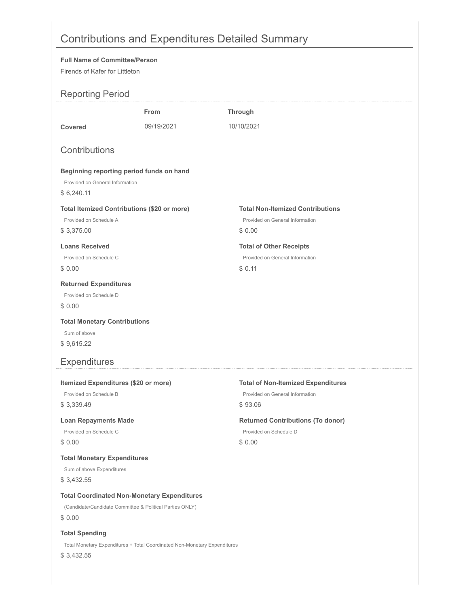# Contributions and Expenditures Detailed Summary

### **Full Name of Committee/Person** Firends of Kafer for Littleton Reporting Period **From Through Covered** 09/19/2021 10/10/2021 **Contributions Beginning reporting period funds on hand** Provided on General Information \$ 6,240.11 **Total Itemized Contributions (\$20 or more) Total Non-Itemized Contributions** Provided on Schedule A Provided on General Information \$ 3,375.00 \$ 0.00 **Loans Received Total of Other Receipts** Provided on Schedule C Provided on General Information \$ 0.00 \$ 0.11 **Returned Expenditures** Provided on Schedule D \$ 0.00 **Total Monetary Contributions** Sum of above \$ 9,615.22 Expenditures **Itemized Expenditures (\$20 or more) Total of Non-Itemized Expenditures** Provided on Schedule B Provided on General Information \$ 3,339.49 \$ 93.06 Loan Repayments Made **Returned Contributions (To donor)** Provided on Schedule C Provided on Schedule D \$ 0.00 \$ 0.00 **Total Monetary Expenditures** Sum of above Expenditures \$ 3,432.55 **Total Coordinated Non-Monetary Expenditures** (Candidate/Candidate Committee & Political Parties ONLY) \$ 0.00 **Total Spending** Total Monetary Expenditures + Total Coordinated Non-Monetary Expenditures

\$ 3,432.55